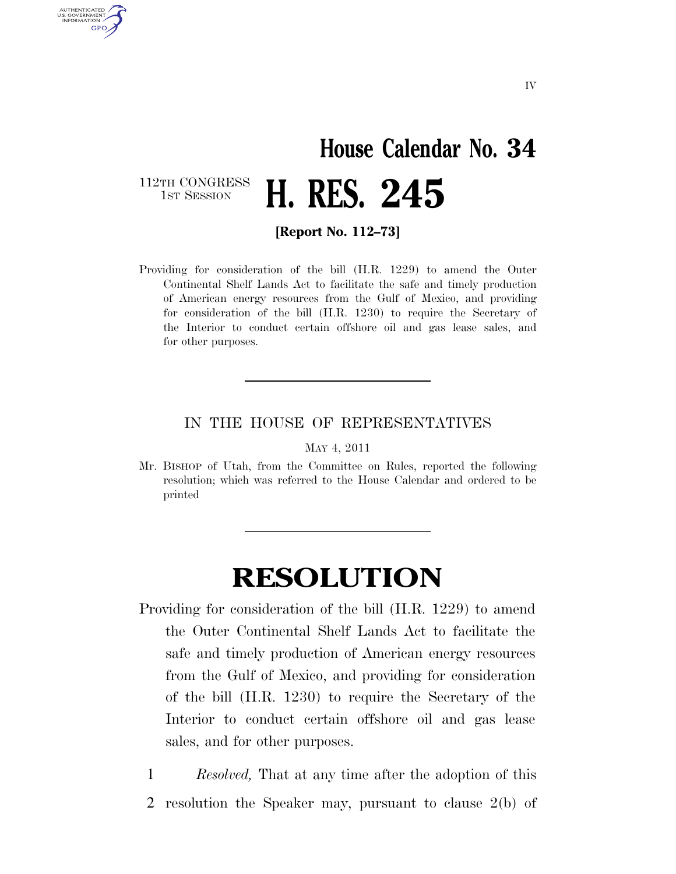## **House Calendar No. 34**  112TH CONGRESS<br>1st Session 1ST SESSION **H. RES. 245**

**[Report No. 112–73]** 

AUTHENTICATED U.S. GOVERNMENT **GPO** 

> Providing for consideration of the bill (H.R. 1229) to amend the Outer Continental Shelf Lands Act to facilitate the safe and timely production of American energy resources from the Gulf of Mexico, and providing for consideration of the bill (H.R. 1230) to require the Secretary of the Interior to conduct certain offshore oil and gas lease sales, and for other purposes.

## IN THE HOUSE OF REPRESENTATIVES

MAY 4, 2011

Mr. BISHOP of Utah, from the Committee on Rules, reported the following resolution; which was referred to the House Calendar and ordered to be printed

## **RESOLUTION**

- Providing for consideration of the bill (H.R. 1229) to amend the Outer Continental Shelf Lands Act to facilitate the safe and timely production of American energy resources from the Gulf of Mexico, and providing for consideration of the bill (H.R. 1230) to require the Secretary of the Interior to conduct certain offshore oil and gas lease sales, and for other purposes.
	- 1 *Resolved,* That at any time after the adoption of this
	- 2 resolution the Speaker may, pursuant to clause 2(b) of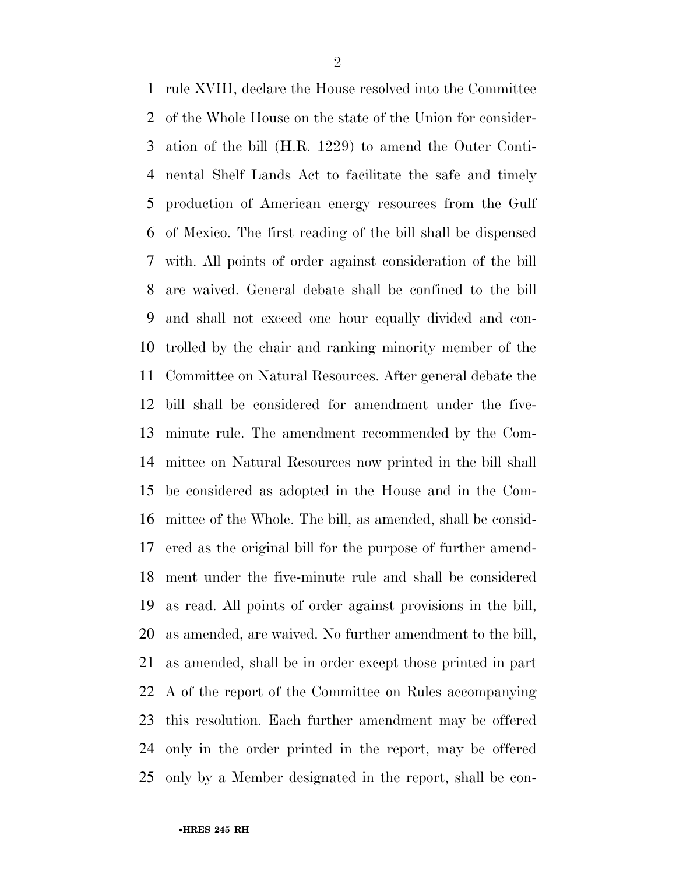rule XVIII, declare the House resolved into the Committee of the Whole House on the state of the Union for consider- ation of the bill (H.R. 1229) to amend the Outer Conti- nental Shelf Lands Act to facilitate the safe and timely production of American energy resources from the Gulf of Mexico. The first reading of the bill shall be dispensed with. All points of order against consideration of the bill are waived. General debate shall be confined to the bill and shall not exceed one hour equally divided and con- trolled by the chair and ranking minority member of the Committee on Natural Resources. After general debate the bill shall be considered for amendment under the five- minute rule. The amendment recommended by the Com- mittee on Natural Resources now printed in the bill shall be considered as adopted in the House and in the Com- mittee of the Whole. The bill, as amended, shall be consid- ered as the original bill for the purpose of further amend- ment under the five-minute rule and shall be considered as read. All points of order against provisions in the bill, as amended, are waived. No further amendment to the bill, as amended, shall be in order except those printed in part A of the report of the Committee on Rules accompanying this resolution. Each further amendment may be offered only in the order printed in the report, may be offered only by a Member designated in the report, shall be con-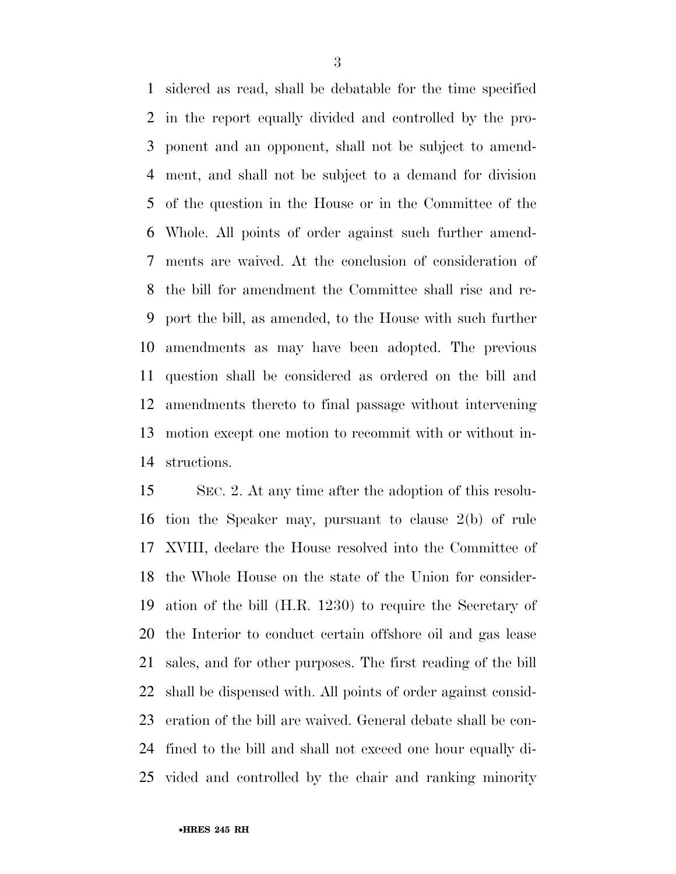sidered as read, shall be debatable for the time specified in the report equally divided and controlled by the pro- ponent and an opponent, shall not be subject to amend- ment, and shall not be subject to a demand for division of the question in the House or in the Committee of the Whole. All points of order against such further amend- ments are waived. At the conclusion of consideration of the bill for amendment the Committee shall rise and re- port the bill, as amended, to the House with such further amendments as may have been adopted. The previous question shall be considered as ordered on the bill and amendments thereto to final passage without intervening motion except one motion to recommit with or without in-structions.

 SEC. 2. At any time after the adoption of this resolu- tion the Speaker may, pursuant to clause 2(b) of rule XVIII, declare the House resolved into the Committee of the Whole House on the state of the Union for consider- ation of the bill (H.R. 1230) to require the Secretary of the Interior to conduct certain offshore oil and gas lease sales, and for other purposes. The first reading of the bill shall be dispensed with. All points of order against consid- eration of the bill are waived. General debate shall be con- fined to the bill and shall not exceed one hour equally di-vided and controlled by the chair and ranking minority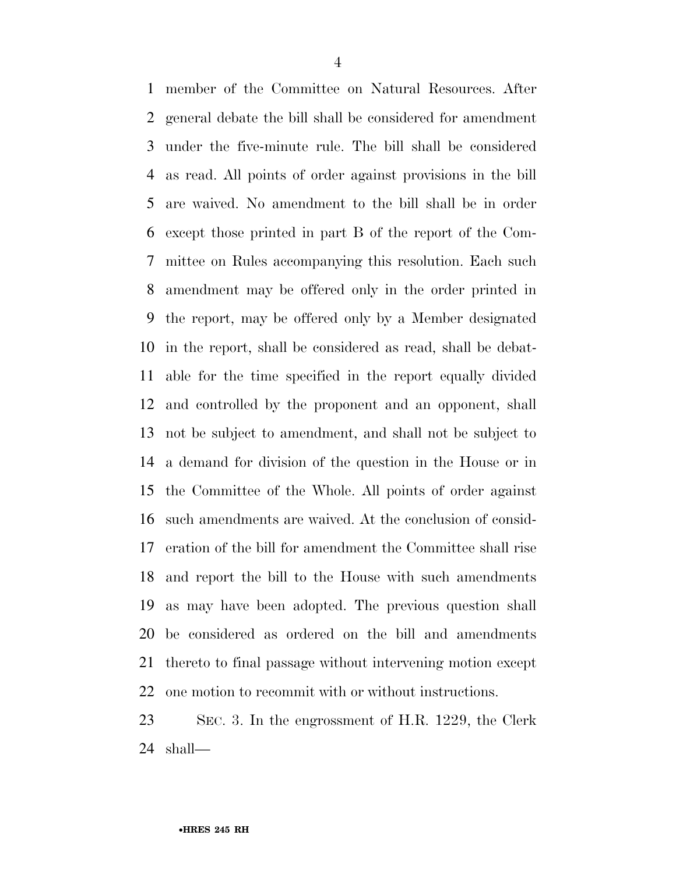member of the Committee on Natural Resources. After general debate the bill shall be considered for amendment under the five-minute rule. The bill shall be considered as read. All points of order against provisions in the bill are waived. No amendment to the bill shall be in order except those printed in part B of the report of the Com- mittee on Rules accompanying this resolution. Each such amendment may be offered only in the order printed in the report, may be offered only by a Member designated in the report, shall be considered as read, shall be debat- able for the time specified in the report equally divided and controlled by the proponent and an opponent, shall not be subject to amendment, and shall not be subject to a demand for division of the question in the House or in the Committee of the Whole. All points of order against such amendments are waived. At the conclusion of consid- eration of the bill for amendment the Committee shall rise and report the bill to the House with such amendments as may have been adopted. The previous question shall be considered as ordered on the bill and amendments thereto to final passage without intervening motion except one motion to recommit with or without instructions.

 SEC. 3. In the engrossment of H.R. 1229, the Clerk shall—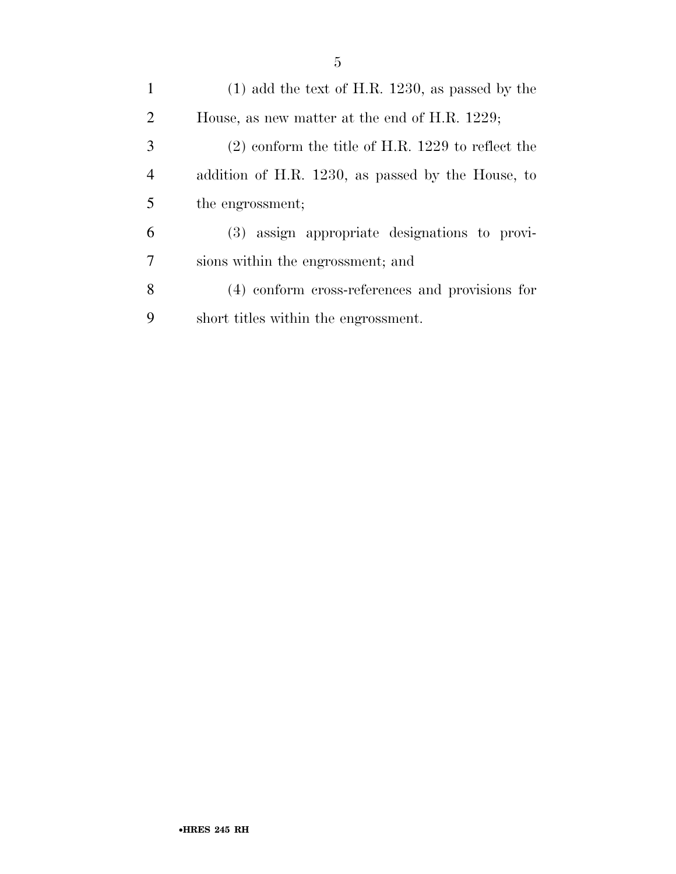| $\mathbf{1}$   | $(1)$ add the text of H.R. 1230, as passed by the   |
|----------------|-----------------------------------------------------|
| 2              | House, as new matter at the end of H.R. 1229;       |
| 3              | $(2)$ conform the title of H.R. 1229 to reflect the |
| $\overline{4}$ | addition of H.R. 1230, as passed by the House, to   |
| 5              | the engrossment;                                    |
| 6              | (3) assign appropriate designations to provi-       |
| 7              | sions within the engrossment; and                   |
| 8              | (4) conform cross-references and provisions for     |
| 9              | short titles within the engrossment.                |